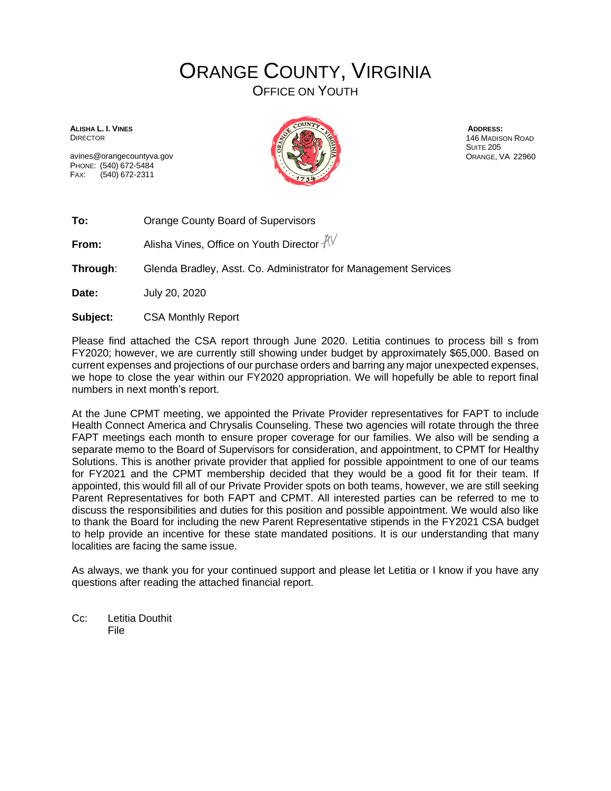## ORANGE COUNTY, VIRGINIA

OFFICE ON YOUTH

**ALISHA L. I. VINES DIRECTOR** 

avines@orangecountyva.gov PHONE: (540) 672-5484 FAX: (540) 672-2311



**ADDRESS:** 146 MADISON ROAD SUITE 205 ORANGE, VA 22960

**To:** Orange County Board of Supervisors

**From:** Alisha Vines, Office on Youth Director  $\sqrt[3]{\sqrt{}}$ 

**Through**: Glenda Bradley, Asst. Co. Administrator for Management Services

**Date:** July 20, 2020

**Subject:** CSA Monthly Report

Please find attached the CSA report through June 2020. Letitia continues to process bill s from FY2020; however, we are currently still showing under budget by approximately \$65,000. Based on current expenses and projections of our purchase orders and barring any major unexpected expenses, we hope to close the year within our FY2020 appropriation. We will hopefully be able to report final numbers in next month's report.

At the June CPMT meeting, we appointed the Private Provider representatives for FAPT to include Health Connect America and Chrysalis Counseling. These two agencies will rotate through the three FAPT meetings each month to ensure proper coverage for our families. We also will be sending a separate memo to the Board of Supervisors for consideration, and appointment, to CPMT for Healthy Solutions. This is another private provider that applied for possible appointment to one of our teams for FY2021 and the CPMT membership decided that they would be a good fit for their team. If appointed, this would fill all of our Private Provider spots on both teams, however, we are still seeking Parent Representatives for both FAPT and CPMT. All interested parties can be referred to me to discuss the responsibilities and duties for this position and possible appointment. We would also like to thank the Board for including the new Parent Representative stipends in the FY2021 CSA budget to help provide an incentive for these state mandated positions. It is our understanding that many localities are facing the same issue.

As always, we thank you for your continued support and please let Letitia or I know if you have any questions after reading the attached financial report.

Cc: Letitia Douthit File